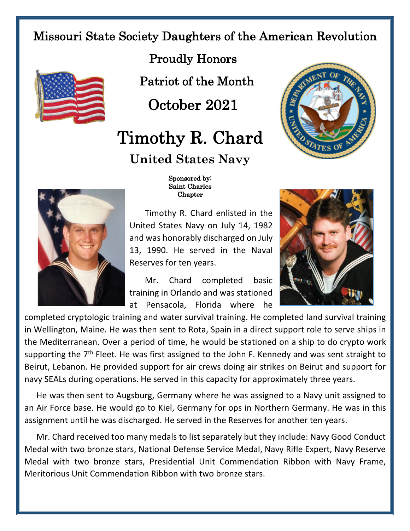## Missouri State Society Daughters of the American Revolution



Proudly Honors

Patriot of the Month

October 2021

## Timothy R. Chard **United States Navy**





## Sponsored by: Saint Charles Chapter

Timothy R. Chard enlisted in the United States Navy on July 14, 1982 and was honorably discharged on July 13, 1990. He served in the Naval Reserves for ten years.

Mr. Chard completed basic training in Orlando and was stationed at Pensacola, Florida where he



completed cryptologic training and water survival training. He completed land survival training in Wellington, Maine. He was then sent to Rota, Spain in a direct support role to serve ships in the Mediterranean. Over a period of time, he would be stationed on a ship to do crypto work supporting the 7<sup>th</sup> Fleet. He was first assigned to the John F. Kennedy and was sent straight to Beirut, Lebanon. He provided support for air crews doing air strikes on Beirut and support for navy SEALs during operations. He served in this capacity for approximately three years.

He was then sent to Augsburg, Germany where he was assigned to a Navy unit assigned to an Air Force base. He would go to Kiel, Germany for ops in Northern Germany. He was in this assignment until he was discharged. He served in the Reserves for another ten years.

Mr. Chard received too many medals to list separately but they include: Navy Good Conduct Medal with two bronze stars, National Defense Service Medal, Navy Rifle Expert, Navy Reserve Medal with two bronze stars, Presidential Unit Commendation Ribbon with Navy Frame, Meritorious Unit Commendation Ribbon with two bronze stars.